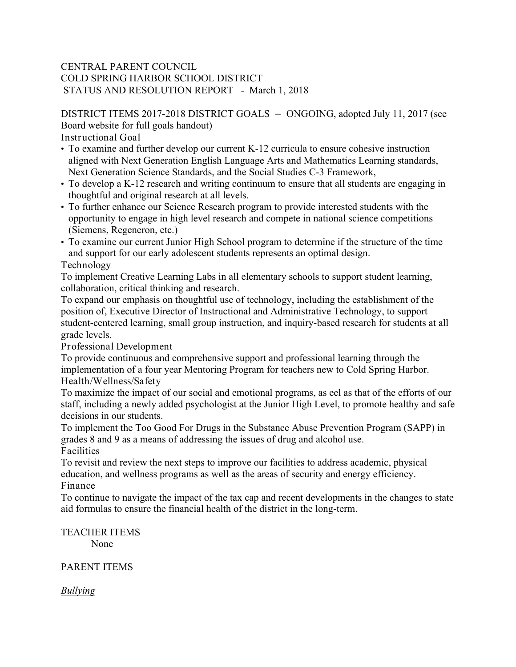### CENTRAL PARENT COUNCIL COLD SPRING HARBOR SCHOOL DISTRICT STATUS AND RESOLUTION REPORT - March 1, 2018

DISTRICT ITEMS 2017-2018 DISTRICT GOALS – ONGOING, adopted July 11, 2017 (see Board website for full goals handout)

Instructional Goal

- To examine and further develop our current K-12 curricula to ensure cohesive instruction aligned with Next Generation English Language Arts and Mathematics Learning standards, Next Generation Science Standards, and the Social Studies C-3 Framework,
- To develop a K-12 research and writing continuum to ensure that all students are engaging in thoughtful and original research at all levels.
- To further enhance our Science Research program to provide interested students with the opportunity to engage in high level research and compete in national science competitions (Siemens, Regeneron, etc.)
- To examine our current Junior High School program to determine if the structure of the time and support for our early adolescent students represents an optimal design.

### Technology

To implement Creative Learning Labs in all elementary schools to support student learning, collaboration, critical thinking and research.

To expand our emphasis on thoughtful use of technology, including the establishment of the position of, Executive Director of Instructional and Administrative Technology, to support student-centered learning, small group instruction, and inquiry-based research for students at all grade levels.

Professional Development

To provide continuous and comprehensive support and professional learning through the implementation of a four year Mentoring Program for teachers new to Cold Spring Harbor. Health/Wellness/Safety

To maximize the impact of our social and emotional programs, as eel as that of the efforts of our staff, including a newly added psychologist at the Junior High Level, to promote healthy and safe decisions in our students.

To implement the Too Good For Drugs in the Substance Abuse Prevention Program (SAPP) in grades 8 and 9 as a means of addressing the issues of drug and alcohol use.

**Facilities** 

To revisit and review the next steps to improve our facilities to address academic, physical education, and wellness programs as well as the areas of security and energy efficiency. Finance

To continue to navigate the impact of the tax cap and recent developments in the changes to state aid formulas to ensure the financial health of the district in the long-term.

# TEACHER ITEMS

None

## PARENT ITEMS

*Bullying*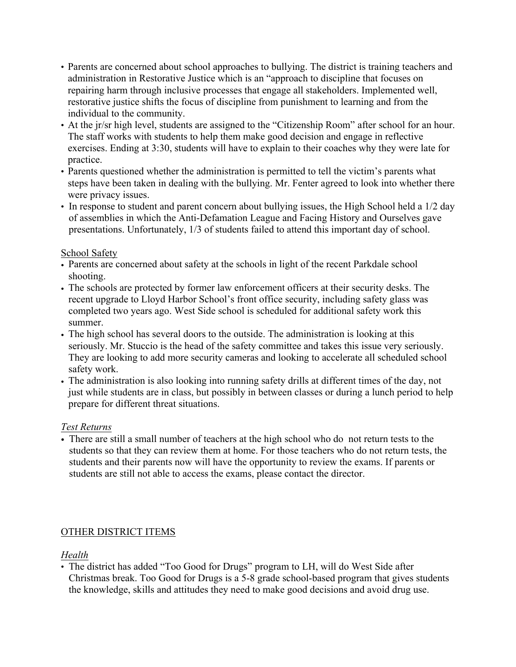- Parents are concerned about school approaches to bullying. The district is training teachers and administration in Restorative Justice which is an "approach to discipline that focuses on repairing harm through inclusive processes that engage all stakeholders. Implemented well, restorative justice shifts the focus of discipline from punishment to learning and from the individual to the community.
- At the jr/sr high level, students are assigned to the "Citizenship Room" after school for an hour. The staff works with students to help them make good decision and engage in reflective exercises. Ending at 3:30, students will have to explain to their coaches why they were late for practice.
- Parents questioned whether the administration is permitted to tell the victim's parents what steps have been taken in dealing with the bullying. Mr. Fenter agreed to look into whether there were privacy issues.
- In response to student and parent concern about bullying issues, the High School held a 1/2 day of assemblies in which the Anti-Defamation League and Facing History and Ourselves gave presentations. Unfortunately, 1/3 of students failed to attend this important day of school.

### School Safety

- Parents are concerned about safety at the schools in light of the recent Parkdale school shooting.
- The schools are protected by former law enforcement officers at their security desks. The recent upgrade to Lloyd Harbor School's front office security, including safety glass was completed two years ago. West Side school is scheduled for additional safety work this summer.
- The high school has several doors to the outside. The administration is looking at this seriously. Mr. Stuccio is the head of the safety committee and takes this issue very seriously. They are looking to add more security cameras and looking to accelerate all scheduled school safety work.
- The administration is also looking into running safety drills at different times of the day, not just while students are in class, but possibly in between classes or during a lunch period to help prepare for different threat situations.

## *Test Returns*

• There are still a small number of teachers at the high school who do not return tests to the students so that they can review them at home. For those teachers who do not return tests, the students and their parents now will have the opportunity to review the exams. If parents or students are still not able to access the exams, please contact the director.

## OTHER DISTRICT ITEMS

*Health*

• The district has added "Too Good for Drugs" program to LH, will do West Side after Christmas break. Too Good for Drugs is a 5-8 grade school-based program that gives students the knowledge, skills and attitudes they need to make good decisions and avoid drug use.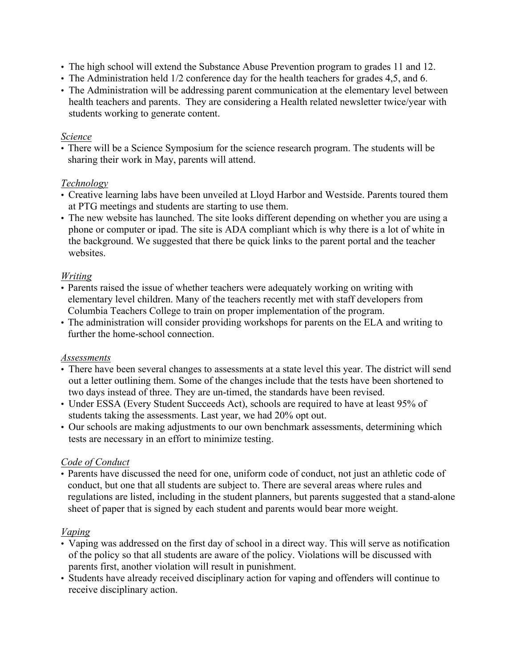- The high school will extend the Substance Abuse Prevention program to grades 11 and 12.
- The Administration held 1/2 conference day for the health teachers for grades 4,5, and 6.
- The Administration will be addressing parent communication at the elementary level between health teachers and parents. They are considering a Health related newsletter twice/year with students working to generate content.

#### *Science*

• There will be a Science Symposium for the science research program. The students will be sharing their work in May, parents will attend.

### *Technology*

- Creative learning labs have been unveiled at Lloyd Harbor and Westside. Parents toured them at PTG meetings and students are starting to use them.
- The new website has launched. The site looks different depending on whether you are using a phone or computer or ipad. The site is ADA compliant which is why there is a lot of white in the background. We suggested that there be quick links to the parent portal and the teacher websites.

## *Writing*

- Parents raised the issue of whether teachers were adequately working on writing with elementary level children. Many of the teachers recently met with staff developers from Columbia Teachers College to train on proper implementation of the program.
- The administration will consider providing workshops for parents on the ELA and writing to further the home-school connection.

## *Assessments*

- There have been several changes to assessments at a state level this year. The district will send out a letter outlining them. Some of the changes include that the tests have been shortened to two days instead of three. They are un-timed, the standards have been revised.
- Under ESSA (Every Student Succeeds Act), schools are required to have at least 95% of students taking the assessments. Last year, we had 20% opt out.
- Our schools are making adjustments to our own benchmark assessments, determining which tests are necessary in an effort to minimize testing.

## *Code of Conduct*

• Parents have discussed the need for one, uniform code of conduct, not just an athletic code of conduct, but one that all students are subject to. There are several areas where rules and regulations are listed, including in the student planners, but parents suggested that a stand-alone sheet of paper that is signed by each student and parents would bear more weight.

## *Vaping*

- Vaping was addressed on the first day of school in a direct way. This will serve as notification of the policy so that all students are aware of the policy. Violations will be discussed with parents first, another violation will result in punishment.
- Students have already received disciplinary action for vaping and offenders will continue to receive disciplinary action.